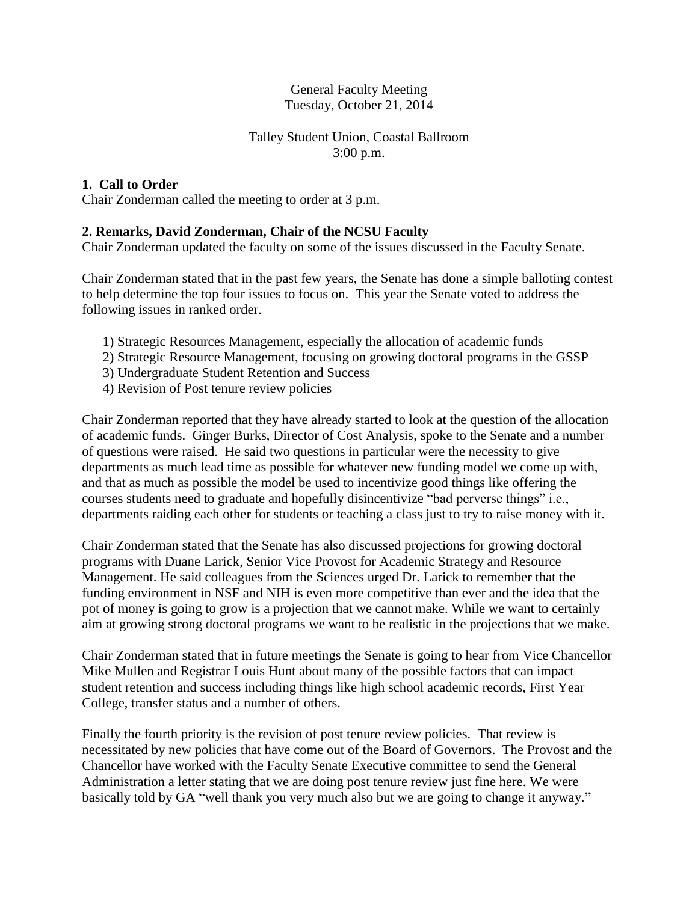# General Faculty Meeting Tuesday, October 21, 2014

# Talley Student Union, Coastal Ballroom 3:00 p.m.

# **1. Call to Order**

Chair Zonderman called the meeting to order at 3 p.m.

# **2. Remarks, David Zonderman, Chair of the NCSU Faculty**

Chair Zonderman updated the faculty on some of the issues discussed in the Faculty Senate.

Chair Zonderman stated that in the past few years, the Senate has done a simple balloting contest to help determine the top four issues to focus on. This year the Senate voted to address the following issues in ranked order.

- 1) Strategic Resources Management, especially the allocation of academic funds
- 2) Strategic Resource Management, focusing on growing doctoral programs in the GSSP
- 3) Undergraduate Student Retention and Success
- 4) Revision of Post tenure review policies

Chair Zonderman reported that they have already started to look at the question of the allocation of academic funds. Ginger Burks, Director of Cost Analysis, spoke to the Senate and a number of questions were raised. He said two questions in particular were the necessity to give departments as much lead time as possible for whatever new funding model we come up with, and that as much as possible the model be used to incentivize good things like offering the courses students need to graduate and hopefully disincentivize "bad perverse things" i.e., departments raiding each other for students or teaching a class just to try to raise money with it.

Chair Zonderman stated that the Senate has also discussed projections for growing doctoral programs with Duane Larick, Senior Vice Provost for Academic Strategy and Resource Management. He said colleagues from the Sciences urged Dr. Larick to remember that the funding environment in NSF and NIH is even more competitive than ever and the idea that the pot of money is going to grow is a projection that we cannot make. While we want to certainly aim at growing strong doctoral programs we want to be realistic in the projections that we make.

Chair Zonderman stated that in future meetings the Senate is going to hear from Vice Chancellor Mike Mullen and Registrar Louis Hunt about many of the possible factors that can impact student retention and success including things like high school academic records, First Year College, transfer status and a number of others.

Finally the fourth priority is the revision of post tenure review policies. That review is necessitated by new policies that have come out of the Board of Governors. The Provost and the Chancellor have worked with the Faculty Senate Executive committee to send the General Administration a letter stating that we are doing post tenure review just fine here. We were basically told by GA "well thank you very much also but we are going to change it anyway."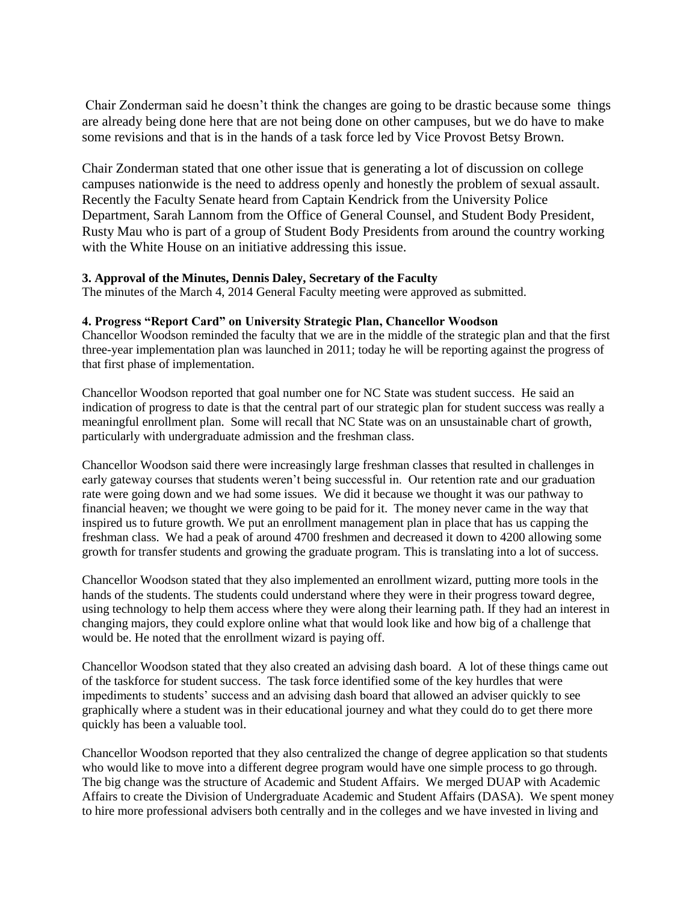Chair Zonderman said he doesn't think the changes are going to be drastic because some things are already being done here that are not being done on other campuses, but we do have to make some revisions and that is in the hands of a task force led by Vice Provost Betsy Brown.

Chair Zonderman stated that one other issue that is generating a lot of discussion on college campuses nationwide is the need to address openly and honestly the problem of sexual assault. Recently the Faculty Senate heard from Captain Kendrick from the University Police Department, Sarah Lannom from the Office of General Counsel, and Student Body President, Rusty Mau who is part of a group of Student Body Presidents from around the country working with the White House on an initiative addressing this issue.

#### **3. Approval of the Minutes, Dennis Daley, Secretary of the Faculty**

The minutes of the March 4, 2014 General Faculty meeting were approved as submitted.

#### **4. Progress "Report Card" on University Strategic Plan, Chancellor Woodson**

Chancellor Woodson reminded the faculty that we are in the middle of the strategic plan and that the first three-year implementation plan was launched in 2011; today he will be reporting against the progress of that first phase of implementation.

Chancellor Woodson reported that goal number one for NC State was student success. He said an indication of progress to date is that the central part of our strategic plan for student success was really a meaningful enrollment plan. Some will recall that NC State was on an unsustainable chart of growth, particularly with undergraduate admission and the freshman class.

Chancellor Woodson said there were increasingly large freshman classes that resulted in challenges in early gateway courses that students weren't being successful in. Our retention rate and our graduation rate were going down and we had some issues. We did it because we thought it was our pathway to financial heaven; we thought we were going to be paid for it. The money never came in the way that inspired us to future growth. We put an enrollment management plan in place that has us capping the freshman class. We had a peak of around 4700 freshmen and decreased it down to 4200 allowing some growth for transfer students and growing the graduate program. This is translating into a lot of success.

Chancellor Woodson stated that they also implemented an enrollment wizard, putting more tools in the hands of the students. The students could understand where they were in their progress toward degree, using technology to help them access where they were along their learning path. If they had an interest in changing majors, they could explore online what that would look like and how big of a challenge that would be. He noted that the enrollment wizard is paying off.

Chancellor Woodson stated that they also created an advising dash board. A lot of these things came out of the taskforce for student success. The task force identified some of the key hurdles that were impediments to students' success and an advising dash board that allowed an adviser quickly to see graphically where a student was in their educational journey and what they could do to get there more quickly has been a valuable tool.

Chancellor Woodson reported that they also centralized the change of degree application so that students who would like to move into a different degree program would have one simple process to go through. The big change was the structure of Academic and Student Affairs. We merged DUAP with Academic Affairs to create the Division of Undergraduate Academic and Student Affairs (DASA). We spent money to hire more professional advisers both centrally and in the colleges and we have invested in living and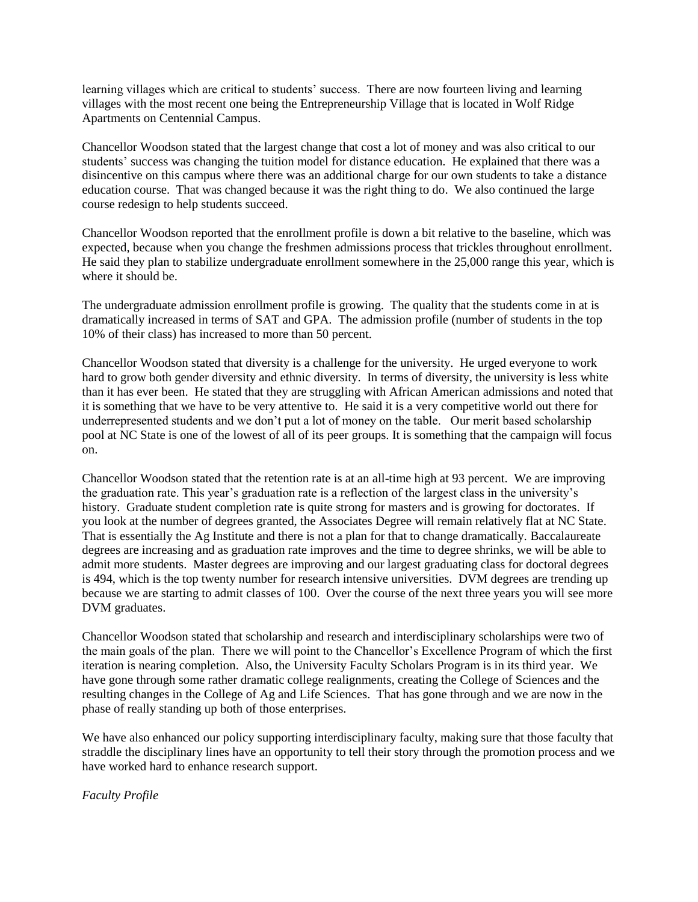learning villages which are critical to students' success. There are now fourteen living and learning villages with the most recent one being the Entrepreneurship Village that is located in Wolf Ridge Apartments on Centennial Campus.

Chancellor Woodson stated that the largest change that cost a lot of money and was also critical to our students' success was changing the tuition model for distance education. He explained that there was a disincentive on this campus where there was an additional charge for our own students to take a distance education course. That was changed because it was the right thing to do. We also continued the large course redesign to help students succeed.

Chancellor Woodson reported that the enrollment profile is down a bit relative to the baseline, which was expected, because when you change the freshmen admissions process that trickles throughout enrollment. He said they plan to stabilize undergraduate enrollment somewhere in the 25,000 range this year, which is where it should be.

The undergraduate admission enrollment profile is growing. The quality that the students come in at is dramatically increased in terms of SAT and GPA. The admission profile (number of students in the top 10% of their class) has increased to more than 50 percent.

Chancellor Woodson stated that diversity is a challenge for the university. He urged everyone to work hard to grow both gender diversity and ethnic diversity. In terms of diversity, the university is less white than it has ever been. He stated that they are struggling with African American admissions and noted that it is something that we have to be very attentive to. He said it is a very competitive world out there for underrepresented students and we don't put a lot of money on the table. Our merit based scholarship pool at NC State is one of the lowest of all of its peer groups. It is something that the campaign will focus on.

Chancellor Woodson stated that the retention rate is at an all-time high at 93 percent. We are improving the graduation rate. This year's graduation rate is a reflection of the largest class in the university's history. Graduate student completion rate is quite strong for masters and is growing for doctorates. If you look at the number of degrees granted, the Associates Degree will remain relatively flat at NC State. That is essentially the Ag Institute and there is not a plan for that to change dramatically. Baccalaureate degrees are increasing and as graduation rate improves and the time to degree shrinks, we will be able to admit more students. Master degrees are improving and our largest graduating class for doctoral degrees is 494, which is the top twenty number for research intensive universities. DVM degrees are trending up because we are starting to admit classes of 100. Over the course of the next three years you will see more DVM graduates.

Chancellor Woodson stated that scholarship and research and interdisciplinary scholarships were two of the main goals of the plan. There we will point to the Chancellor's Excellence Program of which the first iteration is nearing completion. Also, the University Faculty Scholars Program is in its third year. We have gone through some rather dramatic college realignments, creating the College of Sciences and the resulting changes in the College of Ag and Life Sciences. That has gone through and we are now in the phase of really standing up both of those enterprises.

We have also enhanced our policy supporting interdisciplinary faculty, making sure that those faculty that straddle the disciplinary lines have an opportunity to tell their story through the promotion process and we have worked hard to enhance research support.

*Faculty Profile*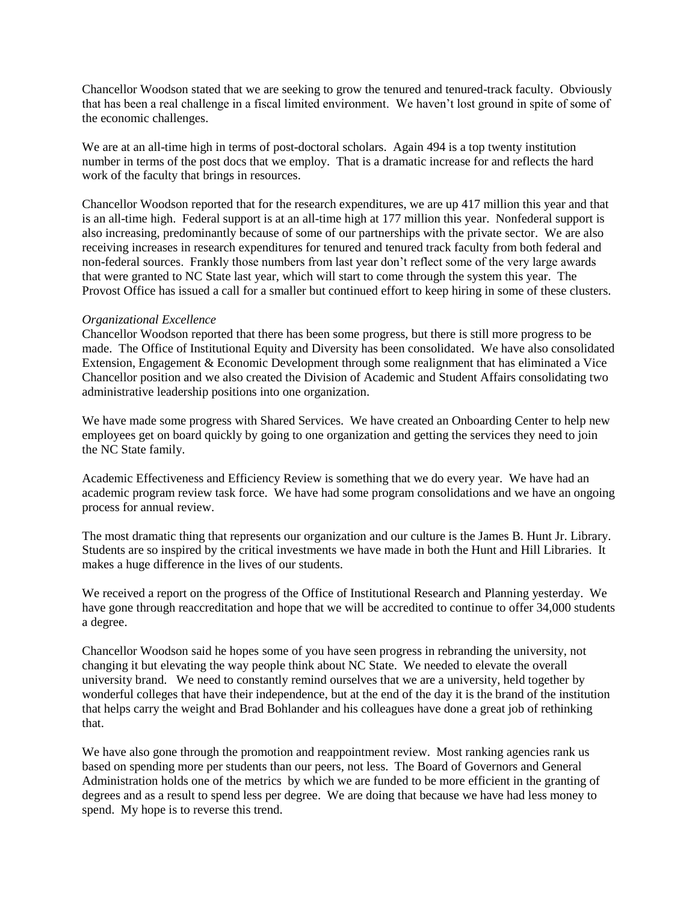Chancellor Woodson stated that we are seeking to grow the tenured and tenured-track faculty. Obviously that has been a real challenge in a fiscal limited environment. We haven't lost ground in spite of some of the economic challenges.

We are at an all-time high in terms of post-doctoral scholars. Again 494 is a top twenty institution number in terms of the post docs that we employ. That is a dramatic increase for and reflects the hard work of the faculty that brings in resources.

Chancellor Woodson reported that for the research expenditures, we are up 417 million this year and that is an all-time high. Federal support is at an all-time high at 177 million this year. Nonfederal support is also increasing, predominantly because of some of our partnerships with the private sector. We are also receiving increases in research expenditures for tenured and tenured track faculty from both federal and non-federal sources. Frankly those numbers from last year don't reflect some of the very large awards that were granted to NC State last year, which will start to come through the system this year. The Provost Office has issued a call for a smaller but continued effort to keep hiring in some of these clusters.

#### *Organizational Excellence*

Chancellor Woodson reported that there has been some progress, but there is still more progress to be made. The Office of Institutional Equity and Diversity has been consolidated. We have also consolidated Extension, Engagement & Economic Development through some realignment that has eliminated a Vice Chancellor position and we also created the Division of Academic and Student Affairs consolidating two administrative leadership positions into one organization.

We have made some progress with Shared Services. We have created an Onboarding Center to help new employees get on board quickly by going to one organization and getting the services they need to join the NC State family.

Academic Effectiveness and Efficiency Review is something that we do every year. We have had an academic program review task force. We have had some program consolidations and we have an ongoing process for annual review.

The most dramatic thing that represents our organization and our culture is the James B. Hunt Jr. Library. Students are so inspired by the critical investments we have made in both the Hunt and Hill Libraries. It makes a huge difference in the lives of our students.

We received a report on the progress of the Office of Institutional Research and Planning yesterday. We have gone through reaccreditation and hope that we will be accredited to continue to offer 34,000 students a degree.

Chancellor Woodson said he hopes some of you have seen progress in rebranding the university, not changing it but elevating the way people think about NC State. We needed to elevate the overall university brand. We need to constantly remind ourselves that we are a university, held together by wonderful colleges that have their independence, but at the end of the day it is the brand of the institution that helps carry the weight and Brad Bohlander and his colleagues have done a great job of rethinking that.

We have also gone through the promotion and reappointment review. Most ranking agencies rank us based on spending more per students than our peers, not less. The Board of Governors and General Administration holds one of the metrics by which we are funded to be more efficient in the granting of degrees and as a result to spend less per degree. We are doing that because we have had less money to spend. My hope is to reverse this trend.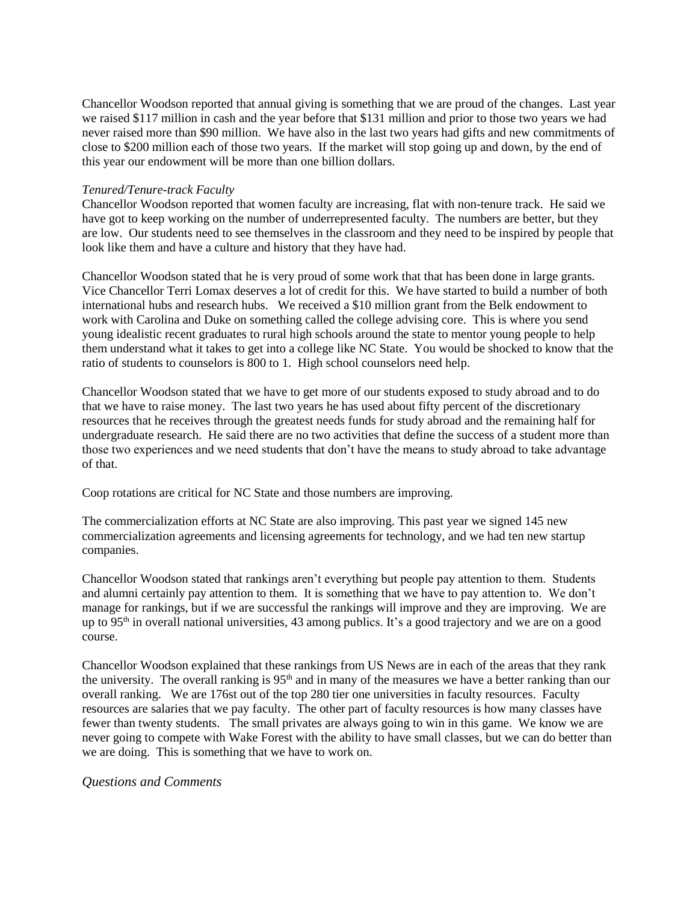Chancellor Woodson reported that annual giving is something that we are proud of the changes. Last year we raised \$117 million in cash and the year before that \$131 million and prior to those two years we had never raised more than \$90 million. We have also in the last two years had gifts and new commitments of close to \$200 million each of those two years. If the market will stop going up and down, by the end of this year our endowment will be more than one billion dollars.

#### *Tenured/Tenure-track Faculty*

Chancellor Woodson reported that women faculty are increasing, flat with non-tenure track. He said we have got to keep working on the number of underrepresented faculty. The numbers are better, but they are low. Our students need to see themselves in the classroom and they need to be inspired by people that look like them and have a culture and history that they have had.

Chancellor Woodson stated that he is very proud of some work that that has been done in large grants. Vice Chancellor Terri Lomax deserves a lot of credit for this. We have started to build a number of both international hubs and research hubs. We received a \$10 million grant from the Belk endowment to work with Carolina and Duke on something called the college advising core. This is where you send young idealistic recent graduates to rural high schools around the state to mentor young people to help them understand what it takes to get into a college like NC State. You would be shocked to know that the ratio of students to counselors is 800 to 1. High school counselors need help.

Chancellor Woodson stated that we have to get more of our students exposed to study abroad and to do that we have to raise money. The last two years he has used about fifty percent of the discretionary resources that he receives through the greatest needs funds for study abroad and the remaining half for undergraduate research. He said there are no two activities that define the success of a student more than those two experiences and we need students that don't have the means to study abroad to take advantage of that.

Coop rotations are critical for NC State and those numbers are improving.

The commercialization efforts at NC State are also improving. This past year we signed 145 new commercialization agreements and licensing agreements for technology, and we had ten new startup companies.

Chancellor Woodson stated that rankings aren't everything but people pay attention to them. Students and alumni certainly pay attention to them. It is something that we have to pay attention to. We don't manage for rankings, but if we are successful the rankings will improve and they are improving. We are up to  $95<sup>th</sup>$  in overall national universities, 43 among publics. It's a good trajectory and we are on a good course.

Chancellor Woodson explained that these rankings from US News are in each of the areas that they rank the university. The overall ranking is 95<sup>th</sup> and in many of the measures we have a better ranking than our overall ranking. We are 176st out of the top 280 tier one universities in faculty resources. Faculty resources are salaries that we pay faculty. The other part of faculty resources is how many classes have fewer than twenty students. The small privates are always going to win in this game. We know we are never going to compete with Wake Forest with the ability to have small classes, but we can do better than we are doing. This is something that we have to work on.

#### *Questions and Comments*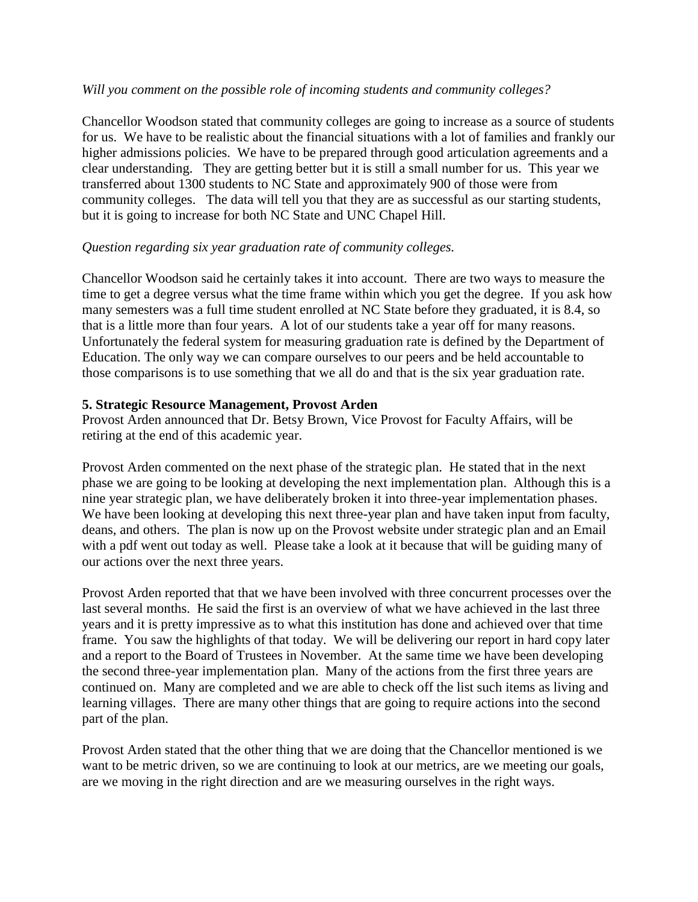#### *Will you comment on the possible role of incoming students and community colleges?*

Chancellor Woodson stated that community colleges are going to increase as a source of students for us. We have to be realistic about the financial situations with a lot of families and frankly our higher admissions policies. We have to be prepared through good articulation agreements and a clear understanding. They are getting better but it is still a small number for us. This year we transferred about 1300 students to NC State and approximately 900 of those were from community colleges. The data will tell you that they are as successful as our starting students, but it is going to increase for both NC State and UNC Chapel Hill.

## *Question regarding six year graduation rate of community colleges.*

Chancellor Woodson said he certainly takes it into account. There are two ways to measure the time to get a degree versus what the time frame within which you get the degree. If you ask how many semesters was a full time student enrolled at NC State before they graduated, it is 8.4, so that is a little more than four years. A lot of our students take a year off for many reasons. Unfortunately the federal system for measuring graduation rate is defined by the Department of Education. The only way we can compare ourselves to our peers and be held accountable to those comparisons is to use something that we all do and that is the six year graduation rate.

## **5. Strategic Resource Management, Provost Arden**

Provost Arden announced that Dr. Betsy Brown, Vice Provost for Faculty Affairs, will be retiring at the end of this academic year.

Provost Arden commented on the next phase of the strategic plan. He stated that in the next phase we are going to be looking at developing the next implementation plan. Although this is a nine year strategic plan, we have deliberately broken it into three-year implementation phases. We have been looking at developing this next three-year plan and have taken input from faculty, deans, and others. The plan is now up on the Provost website under strategic plan and an Email with a pdf went out today as well. Please take a look at it because that will be guiding many of our actions over the next three years.

Provost Arden reported that that we have been involved with three concurrent processes over the last several months. He said the first is an overview of what we have achieved in the last three years and it is pretty impressive as to what this institution has done and achieved over that time frame. You saw the highlights of that today. We will be delivering our report in hard copy later and a report to the Board of Trustees in November. At the same time we have been developing the second three-year implementation plan. Many of the actions from the first three years are continued on. Many are completed and we are able to check off the list such items as living and learning villages. There are many other things that are going to require actions into the second part of the plan.

Provost Arden stated that the other thing that we are doing that the Chancellor mentioned is we want to be metric driven, so we are continuing to look at our metrics, are we meeting our goals, are we moving in the right direction and are we measuring ourselves in the right ways.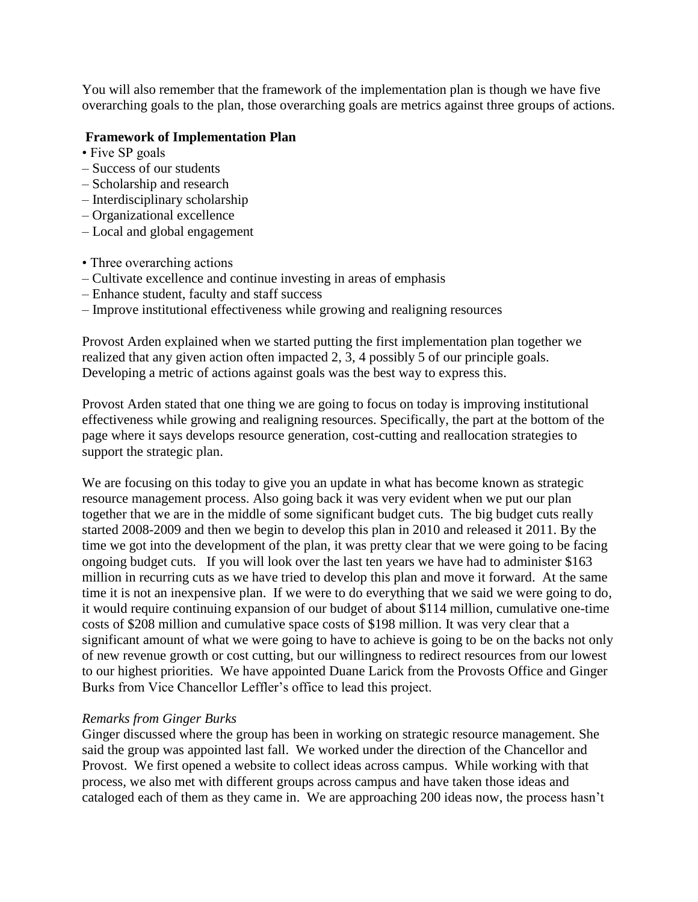You will also remember that the framework of the implementation plan is though we have five overarching goals to the plan, those overarching goals are metrics against three groups of actions.

## **Framework of Implementation Plan**

- Five SP goals
- Success of our students
- Scholarship and research
- Interdisciplinary scholarship
- Organizational excellence
- Local and global engagement
- Three overarching actions
- Cultivate excellence and continue investing in areas of emphasis
- Enhance student, faculty and staff success
- Improve institutional effectiveness while growing and realigning resources

Provost Arden explained when we started putting the first implementation plan together we realized that any given action often impacted 2, 3, 4 possibly 5 of our principle goals. Developing a metric of actions against goals was the best way to express this.

Provost Arden stated that one thing we are going to focus on today is improving institutional effectiveness while growing and realigning resources. Specifically, the part at the bottom of the page where it says develops resource generation, cost-cutting and reallocation strategies to support the strategic plan.

We are focusing on this today to give you an update in what has become known as strategic resource management process. Also going back it was very evident when we put our plan together that we are in the middle of some significant budget cuts. The big budget cuts really started 2008-2009 and then we begin to develop this plan in 2010 and released it 2011. By the time we got into the development of the plan, it was pretty clear that we were going to be facing ongoing budget cuts. If you will look over the last ten years we have had to administer \$163 million in recurring cuts as we have tried to develop this plan and move it forward. At the same time it is not an inexpensive plan. If we were to do everything that we said we were going to do, it would require continuing expansion of our budget of about \$114 million, cumulative one-time costs of \$208 million and cumulative space costs of \$198 million. It was very clear that a significant amount of what we were going to have to achieve is going to be on the backs not only of new revenue growth or cost cutting, but our willingness to redirect resources from our lowest to our highest priorities. We have appointed Duane Larick from the Provosts Office and Ginger Burks from Vice Chancellor Leffler's office to lead this project.

#### *Remarks from Ginger Burks*

Ginger discussed where the group has been in working on strategic resource management. She said the group was appointed last fall. We worked under the direction of the Chancellor and Provost. We first opened a website to collect ideas across campus. While working with that process, we also met with different groups across campus and have taken those ideas and cataloged each of them as they came in. We are approaching 200 ideas now, the process hasn't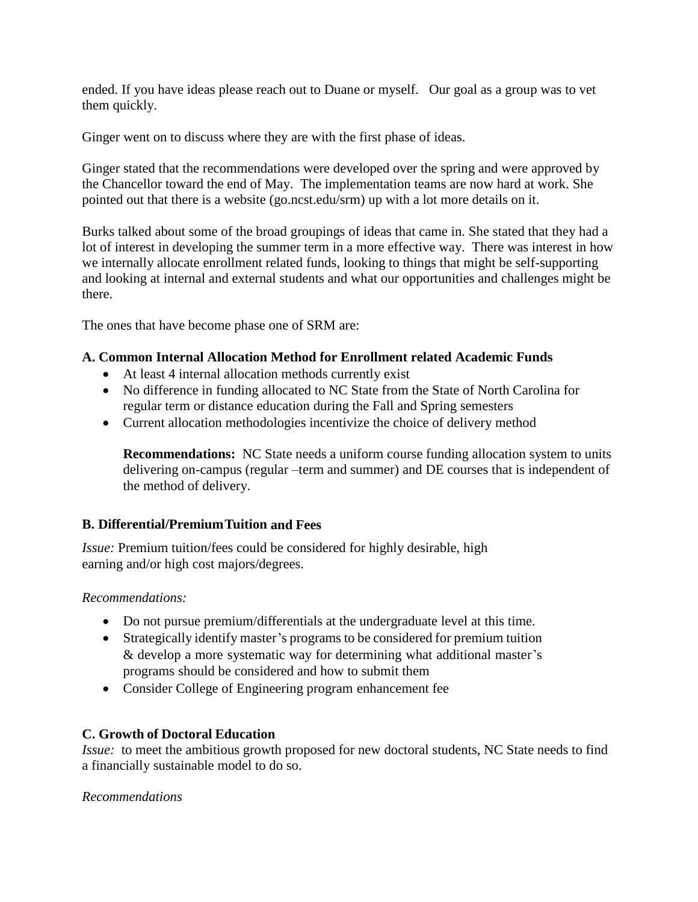ended. If you have ideas please reach out to Duane or myself. Our goal as a group was to vet them quickly.

Ginger went on to discuss where they are with the first phase of ideas.

Ginger stated that the recommendations were developed over the spring and were approved by the Chancellor toward the end of May. The implementation teams are now hard at work. She pointed out that there is a website (go.ncst.edu/srm) up with a lot more details on it.

Burks talked about some of the broad groupings of ideas that came in. She stated that they had a lot of interest in developing the summer term in a more effective way. There was interest in how we internally allocate enrollment related funds, looking to things that might be self-supporting and looking at internal and external students and what our opportunities and challenges might be there.

The ones that have become phase one of SRM are:

## **A. Common Internal Allocation Method for Enrollment related Academic Funds**

- At least 4 internal allocation methods currently exist
- No difference in funding allocated to NC State from the State of North Carolina for regular term or distance education during the Fall and Spring semesters
- Current allocation methodologies incentivize the choice of delivery method

**Recommendations:** NC State needs a uniform course funding allocation system to units delivering on-campus (regular –term and summer) and DE courses that is independent of the method of delivery.

# **B. Differential/PremiumTuition and Fees**

*Issue:* Premium tuition/fees could be considered for highly desirable, high earning and/or high cost majors/degrees.

*Recommendations:*

- Do not pursue premium/differentials at the undergraduate level at this time.
- Strategically identify master's programs to be considered for premium tuition & develop a more systematic way for determining what additional master's programs should be considered and how to submit them
- Consider College of Engineering program enhancement fee

# **C. Growth of Doctoral Education**

*Issue:* to meet the ambitious growth proposed for new doctoral students, NC State needs to find a financially sustainable model to do so.

#### *Recommendations*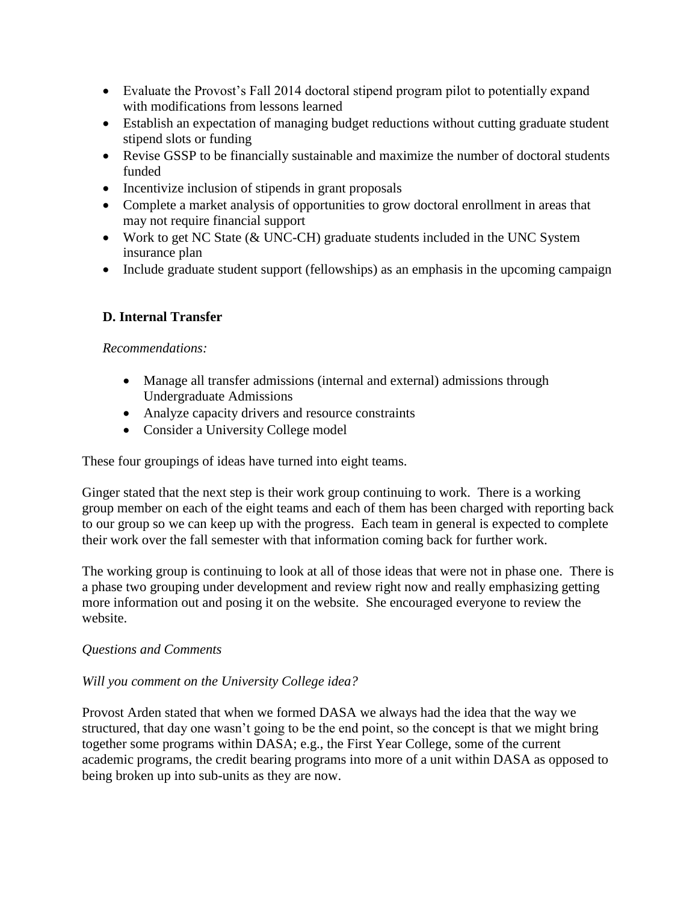- Evaluate the Provost's Fall 2014 doctoral stipend program pilot to potentially expand with modifications from lessons learned
- Establish an expectation of managing budget reductions without cutting graduate student stipend slots or funding
- Revise GSSP to be financially sustainable and maximize the number of doctoral students funded
- Incentivize inclusion of stipends in grant proposals
- Complete a market analysis of opportunities to grow doctoral enrollment in areas that may not require financial support
- Work to get NC State (& UNC-CH) graduate students included in the UNC System insurance plan
- Include graduate student support (fellowships) as an emphasis in the upcoming campaign

# **D. Internal Transfer**

# *Recommendations:*

- Manage all transfer admissions (internal and external) admissions through Undergraduate Admissions
- Analyze capacity drivers and resource constraints
- Consider a University College model

These four groupings of ideas have turned into eight teams.

Ginger stated that the next step is their work group continuing to work. There is a working group member on each of the eight teams and each of them has been charged with reporting back to our group so we can keep up with the progress. Each team in general is expected to complete their work over the fall semester with that information coming back for further work.

The working group is continuing to look at all of those ideas that were not in phase one. There is a phase two grouping under development and review right now and really emphasizing getting more information out and posing it on the website. She encouraged everyone to review the website.

# *Questions and Comments*

# *Will you comment on the University College idea?*

Provost Arden stated that when we formed DASA we always had the idea that the way we structured, that day one wasn't going to be the end point, so the concept is that we might bring together some programs within DASA; e.g., the First Year College, some of the current academic programs, the credit bearing programs into more of a unit within DASA as opposed to being broken up into sub-units as they are now.